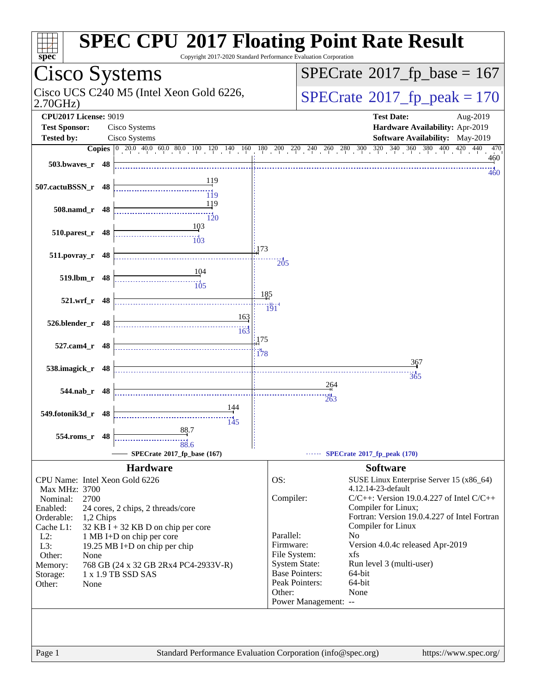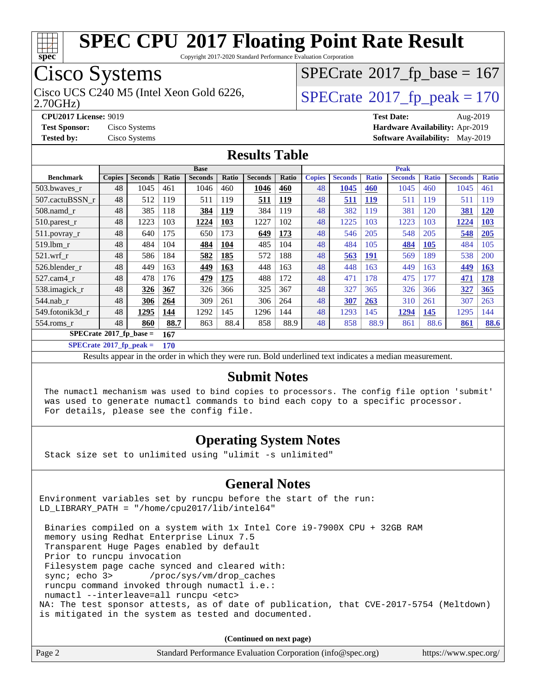

Copyright 2017-2020 Standard Performance Evaluation Corporation

## Cisco Systems

Cisco UCS C240 M5 (Intel Xeon Gold 6226,  $SPECrate@2017_fp\_peak = 170$  $SPECrate@2017_fp\_peak = 170$ 

 $SPECrate$ <sup>®</sup>[2017\\_fp\\_base =](http://www.spec.org/auto/cpu2017/Docs/result-fields.html#SPECrate2017fpbase) 167

2.70GHz)

**[CPU2017 License:](http://www.spec.org/auto/cpu2017/Docs/result-fields.html#CPU2017License)** 9019 **[Test Date:](http://www.spec.org/auto/cpu2017/Docs/result-fields.html#TestDate)** Aug-2019

**[Test Sponsor:](http://www.spec.org/auto/cpu2017/Docs/result-fields.html#TestSponsor)** Cisco Systems **[Hardware Availability:](http://www.spec.org/auto/cpu2017/Docs/result-fields.html#HardwareAvailability)** Apr-2019 **[Tested by:](http://www.spec.org/auto/cpu2017/Docs/result-fields.html#Testedby)** Cisco Systems **[Software Availability:](http://www.spec.org/auto/cpu2017/Docs/result-fields.html#SoftwareAvailability)** May-2019

#### **[Results Table](http://www.spec.org/auto/cpu2017/Docs/result-fields.html#ResultsTable)**

|                                        | <b>Base</b>   |                |       |                |       | <b>Peak</b>    |            |               |                |              |                |              |                |              |
|----------------------------------------|---------------|----------------|-------|----------------|-------|----------------|------------|---------------|----------------|--------------|----------------|--------------|----------------|--------------|
| <b>Benchmark</b>                       | <b>Copies</b> | <b>Seconds</b> | Ratio | <b>Seconds</b> | Ratio | <b>Seconds</b> | Ratio      | <b>Copies</b> | <b>Seconds</b> | <b>Ratio</b> | <b>Seconds</b> | <b>Ratio</b> | <b>Seconds</b> | <b>Ratio</b> |
| 503.bwayes_r                           | 48            | 1045           | 461   | 1046           | 460   | 1046           | 460        | 48            | 1045           | 460          | 1045           | 460          | 1045           | 461          |
| 507.cactuBSSN r                        | 48            | 512            | 119   | 511            | 119   | 511            | 119        | 48            | 511            | <u>119</u>   | 511            | 119          | 511            | 119          |
| $508$ .namd $r$                        | 48            | 385            | 118   | 384            | 119   | 384            | 119        | 48            | 382            | 119          | 381            | 120          | 381            | <b>120</b>   |
| $510.parest_r$                         | 48            | 1223           | 103   | 1224           | 103   | 1227           | 102        | 48            | 1225           | 103          | 1223           | 103          | 1224           | 103          |
| 511.povray_r                           | 48            | 640            | 175   | 650            | 173   | 649            | <u>173</u> | 48            | 546            | 205          | 548            | 205          | 548            | <b>205</b>   |
| 519.1bm r                              | 48            | 484            | 104   | 484            | 104   | 485            | 104        | 48            | 484            | 105          | 484            | 105          | 484            | 105          |
| $521$ .wrf r                           | 48            | 586            | 184   | 582            | 185   | 572            | 188        | 48            | 563            | <u>191</u>   | 569            | 189          | 538            | 200          |
| 526.blender r                          | 48            | 449            | 163   | 449            | 163   | 448            | 163        | 48            | 448            | 163          | 449            | 163          | 449            | 163          |
| 527.cam4 r                             | 48            | 478            | 176   | 479            | 175   | 488            | 172        | 48            | 471            | 178          | 475            | 177          | 471            | 178          |
| 538.imagick_r                          | 48            | 326            | 367   | 326            | 366   | 325            | 367        | 48            | 327            | 365          | 326            | 366          | 327            | 365          |
| 544.nab r                              | 48            | 306            | 264   | 309            | 261   | 306            | 264        | 48            | 307            | 263          | 310            | 261          | 307            | 263          |
| 549.fotonik3d r                        | 48            | 1295           | 144   | 1292           | 145   | 1296           | 144        | 48            | 1293           | 145          | 1294           | 145          | 1295           | 144          |
| $554$ .roms r                          | 48            | 860            | 88.7  | 863            | 88.4  | 858            | 88.9       | 48            | 858            | 88.9         | 861            | 88.6         | 861            | 88.6         |
| $SPECrate$ <sup>®</sup> 2017_fp_base = |               |                | 167   |                |       |                |            |               |                |              |                |              |                |              |

**[SPECrate](http://www.spec.org/auto/cpu2017/Docs/result-fields.html#SPECrate2017fppeak)[2017\\_fp\\_peak =](http://www.spec.org/auto/cpu2017/Docs/result-fields.html#SPECrate2017fppeak) 170**

Results appear in the [order in which they were run.](http://www.spec.org/auto/cpu2017/Docs/result-fields.html#RunOrder) Bold underlined text [indicates a median measurement.](http://www.spec.org/auto/cpu2017/Docs/result-fields.html#Median)

#### **[Submit Notes](http://www.spec.org/auto/cpu2017/Docs/result-fields.html#SubmitNotes)**

 The numactl mechanism was used to bind copies to processors. The config file option 'submit' was used to generate numactl commands to bind each copy to a specific processor. For details, please see the config file.

#### **[Operating System Notes](http://www.spec.org/auto/cpu2017/Docs/result-fields.html#OperatingSystemNotes)**

Stack size set to unlimited using "ulimit -s unlimited"

#### **[General Notes](http://www.spec.org/auto/cpu2017/Docs/result-fields.html#GeneralNotes)**

Environment variables set by runcpu before the start of the run: LD\_LIBRARY\_PATH = "/home/cpu2017/lib/intel64"

 Binaries compiled on a system with 1x Intel Core i9-7900X CPU + 32GB RAM memory using Redhat Enterprise Linux 7.5 Transparent Huge Pages enabled by default Prior to runcpu invocation Filesystem page cache synced and cleared with: sync; echo 3> /proc/sys/vm/drop\_caches runcpu command invoked through numactl i.e.: numactl --interleave=all runcpu <etc> NA: The test sponsor attests, as of date of publication, that CVE-2017-5754 (Meltdown) is mitigated in the system as tested and documented.

**(Continued on next page)**

| Page 2 | Standard Performance Evaluation Corporation (info@spec.org) | https://www.spec.org/ |
|--------|-------------------------------------------------------------|-----------------------|
|        |                                                             |                       |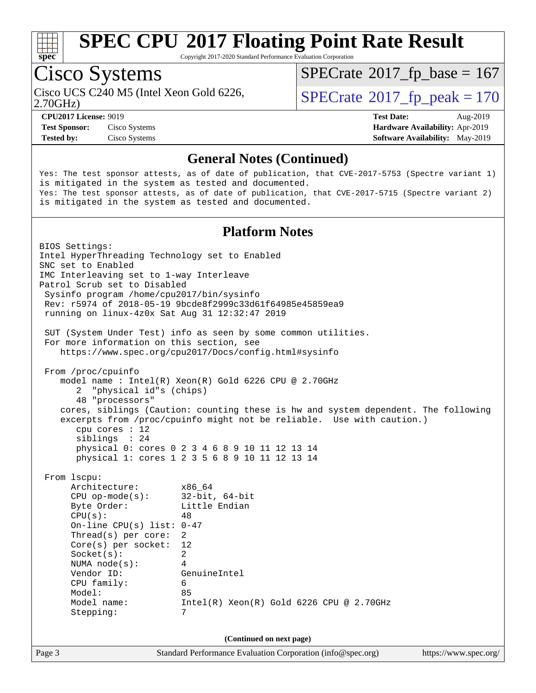

Copyright 2017-2020 Standard Performance Evaluation Corporation

# Cisco Systems

 $SPECTate$ <sup>®</sup>[2017\\_fp\\_base =](http://www.spec.org/auto/cpu2017/Docs/result-fields.html#SPECrate2017fpbase) 167

2.70GHz)

Cisco UCS C240 M5 (Intel Xeon Gold 6226,  $\vert$ [SPECrate](http://www.spec.org/auto/cpu2017/Docs/result-fields.html#SPECrate2017fppeak)®[2017\\_fp\\_peak = 1](http://www.spec.org/auto/cpu2017/Docs/result-fields.html#SPECrate2017fppeak)70

**[Test Sponsor:](http://www.spec.org/auto/cpu2017/Docs/result-fields.html#TestSponsor)** Cisco Systems **[Hardware Availability:](http://www.spec.org/auto/cpu2017/Docs/result-fields.html#HardwareAvailability)** Apr-2019 **[Tested by:](http://www.spec.org/auto/cpu2017/Docs/result-fields.html#Testedby)** Cisco Systems **[Software Availability:](http://www.spec.org/auto/cpu2017/Docs/result-fields.html#SoftwareAvailability)** May-2019

**[CPU2017 License:](http://www.spec.org/auto/cpu2017/Docs/result-fields.html#CPU2017License)** 9019 **[Test Date:](http://www.spec.org/auto/cpu2017/Docs/result-fields.html#TestDate)** Aug-2019

#### **[General Notes \(Continued\)](http://www.spec.org/auto/cpu2017/Docs/result-fields.html#GeneralNotes)**

Yes: The test sponsor attests, as of date of publication, that CVE-2017-5753 (Spectre variant 1) is mitigated in the system as tested and documented. Yes: The test sponsor attests, as of date of publication, that CVE-2017-5715 (Spectre variant 2) is mitigated in the system as tested and documented.

#### **[Platform Notes](http://www.spec.org/auto/cpu2017/Docs/result-fields.html#PlatformNotes)**

Page 3 Standard Performance Evaluation Corporation [\(info@spec.org\)](mailto:info@spec.org) <https://www.spec.org/> BIOS Settings: Intel HyperThreading Technology set to Enabled SNC set to Enabled IMC Interleaving set to 1-way Interleave Patrol Scrub set to Disabled Sysinfo program /home/cpu2017/bin/sysinfo Rev: r5974 of 2018-05-19 9bcde8f2999c33d61f64985e45859ea9 running on linux-4z0x Sat Aug 31 12:32:47 2019 SUT (System Under Test) info as seen by some common utilities. For more information on this section, see <https://www.spec.org/cpu2017/Docs/config.html#sysinfo> From /proc/cpuinfo model name : Intel(R) Xeon(R) Gold 6226 CPU @ 2.70GHz 2 "physical id"s (chips) 48 "processors" cores, siblings (Caution: counting these is hw and system dependent. The following excerpts from /proc/cpuinfo might not be reliable. Use with caution.) cpu cores : 12 siblings : 24 physical 0: cores 0 2 3 4 6 8 9 10 11 12 13 14 physical 1: cores 1 2 3 5 6 8 9 10 11 12 13 14 From lscpu: Architecture: x86\_64 CPU op-mode(s): 32-bit, 64-bit Byte Order: Little Endian  $CPU(s):$  48 On-line CPU(s) list: 0-47 Thread(s) per core: 2 Core(s) per socket: 12 Socket(s): 2 NUMA node(s): 4 Vendor ID: GenuineIntel CPU family: 6 Model: 85 Model name: Intel(R) Xeon(R) Gold 6226 CPU @ 2.70GHz Stepping: 7 **(Continued on next page)**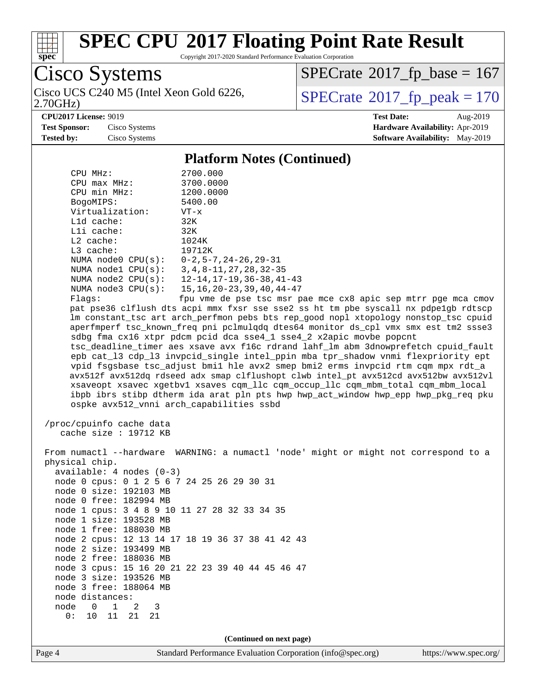

Copyright 2017-2020 Standard Performance Evaluation Corporation

Cisco Systems

2.70GHz) Cisco UCS C240 M5 (Intel Xeon Gold 6226,  $SPECrate@2017_fp\_peak = 170$  $SPECrate@2017_fp\_peak = 170$ 

 $SPECrate$ <sup>®</sup>[2017\\_fp\\_base =](http://www.spec.org/auto/cpu2017/Docs/result-fields.html#SPECrate2017fpbase) 167

**[CPU2017 License:](http://www.spec.org/auto/cpu2017/Docs/result-fields.html#CPU2017License)** 9019 **[Test Date:](http://www.spec.org/auto/cpu2017/Docs/result-fields.html#TestDate)** Aug-2019 **[Test Sponsor:](http://www.spec.org/auto/cpu2017/Docs/result-fields.html#TestSponsor)** Cisco Systems **[Hardware Availability:](http://www.spec.org/auto/cpu2017/Docs/result-fields.html#HardwareAvailability)** Apr-2019 **[Tested by:](http://www.spec.org/auto/cpu2017/Docs/result-fields.html#Testedby)** Cisco Systems **[Software Availability:](http://www.spec.org/auto/cpu2017/Docs/result-fields.html#SoftwareAvailability)** May-2019

#### **[Platform Notes \(Continued\)](http://www.spec.org/auto/cpu2017/Docs/result-fields.html#PlatformNotes)**

| CPU MHz:                                                               | 2700.000                                                                             |  |  |  |  |  |
|------------------------------------------------------------------------|--------------------------------------------------------------------------------------|--|--|--|--|--|
| $CPU$ $max$ $MHz$ :                                                    | 3700.0000                                                                            |  |  |  |  |  |
| CPU min MHz:                                                           | 1200.0000                                                                            |  |  |  |  |  |
| BogoMIPS:                                                              | 5400.00                                                                              |  |  |  |  |  |
| Virtualization:                                                        | VT-x                                                                                 |  |  |  |  |  |
| L1d cache:                                                             | 32K                                                                                  |  |  |  |  |  |
| Lli cache:                                                             | 32K                                                                                  |  |  |  |  |  |
| $L2$ cache:                                                            | 1024K                                                                                |  |  |  |  |  |
| L3 cache:                                                              | 19712K                                                                               |  |  |  |  |  |
| NUMA node0 CPU(s):                                                     | $0-2, 5-7, 24-26, 29-31$                                                             |  |  |  |  |  |
|                                                                        | NUMA nodel CPU(s): 3, 4, 8-11, 27, 28, 32-35                                         |  |  |  |  |  |
| NUMA $node2$ $CPU(s):$                                                 | $12 - 14$ , $17 - 19$ , $36 - 38$ , $41 - 43$                                        |  |  |  |  |  |
| NUMA $node3$ CPU $(s)$ :                                               | $15, 16, 20 - 23, 39, 40, 44 - 47$                                                   |  |  |  |  |  |
| Flags:                                                                 | fpu vme de pse tsc msr pae mce cx8 apic sep mtrr pge mca cmov                        |  |  |  |  |  |
|                                                                        | pat pse36 clflush dts acpi mmx fxsr sse sse2 ss ht tm pbe syscall nx pdpelgb rdtscp  |  |  |  |  |  |
|                                                                        | lm constant_tsc art arch_perfmon pebs bts rep_good nopl xtopology nonstop_tsc cpuid  |  |  |  |  |  |
|                                                                        | aperfmperf tsc_known_freq pni pclmulqdq dtes64 monitor ds_cpl vmx smx est tm2 ssse3  |  |  |  |  |  |
|                                                                        | sdbg fma cx16 xtpr pdcm pcid dca sse4_1 sse4_2 x2apic movbe popcnt                   |  |  |  |  |  |
|                                                                        | tsc_deadline_timer aes xsave avx f16c rdrand lahf_lm abm 3dnowprefetch cpuid_fault   |  |  |  |  |  |
|                                                                        | epb cat_13 cdp_13 invpcid_single intel_ppin mba tpr_shadow vnmi flexpriority ept     |  |  |  |  |  |
|                                                                        | vpid fsgsbase tsc_adjust bmil hle avx2 smep bmi2 erms invpcid rtm cqm mpx rdt_a      |  |  |  |  |  |
|                                                                        | avx512f avx512dq rdseed adx smap clflushopt clwb intel_pt avx512cd avx512bw avx512vl |  |  |  |  |  |
|                                                                        | xsaveopt xsavec xgetbvl xsaves cqm_llc cqm_occup_llc cqm_mbm_total cqm_mbm_local     |  |  |  |  |  |
|                                                                        | ibpb ibrs stibp dtherm ida arat pln pts hwp hwp_act_window hwp_epp hwp_pkg_req pku   |  |  |  |  |  |
|                                                                        | ospke avx512_vnni arch_capabilities ssbd                                             |  |  |  |  |  |
|                                                                        |                                                                                      |  |  |  |  |  |
|                                                                        | /proc/cpuinfo cache data                                                             |  |  |  |  |  |
| cache size $: 19712$ KB                                                |                                                                                      |  |  |  |  |  |
|                                                                        |                                                                                      |  |  |  |  |  |
|                                                                        | From numactl --hardware WARNING: a numactl 'node' might or might not correspond to a |  |  |  |  |  |
| physical chip.                                                         |                                                                                      |  |  |  |  |  |
| $available: 4 nodes (0-3)$                                             |                                                                                      |  |  |  |  |  |
| node 0 cpus: 0 1 2 5 6 7 24 25 26 29 30 31                             |                                                                                      |  |  |  |  |  |
| node 0 size: 192103 MB                                                 |                                                                                      |  |  |  |  |  |
| node 0 free: 182994 MB<br>node 1 cpus: 3 4 8 9 10 11 27 28 32 33 34 35 |                                                                                      |  |  |  |  |  |
| node 1 size: 193528 MB                                                 |                                                                                      |  |  |  |  |  |
| node 1 free: 188030 MB                                                 |                                                                                      |  |  |  |  |  |
|                                                                        | node 2 cpus: 12 13 14 17 18 19 36 37 38 41 42 43                                     |  |  |  |  |  |
| node 2 size: 193499 MB                                                 |                                                                                      |  |  |  |  |  |
| node 2 free: 188036 MB                                                 |                                                                                      |  |  |  |  |  |
|                                                                        | node 3 cpus: 15 16 20 21 22 23 39 40 44 45 46 47                                     |  |  |  |  |  |
| node 3 size: 193526 MB                                                 |                                                                                      |  |  |  |  |  |
| node 3 free: 188064 MB                                                 |                                                                                      |  |  |  |  |  |
| node distances:                                                        |                                                                                      |  |  |  |  |  |
| $\mathbf 1$<br>node<br>0<br>2<br>3                                     |                                                                                      |  |  |  |  |  |
| 0:<br>11<br>10<br>21<br>21                                             |                                                                                      |  |  |  |  |  |
|                                                                        |                                                                                      |  |  |  |  |  |
| (Continued on next page)                                               |                                                                                      |  |  |  |  |  |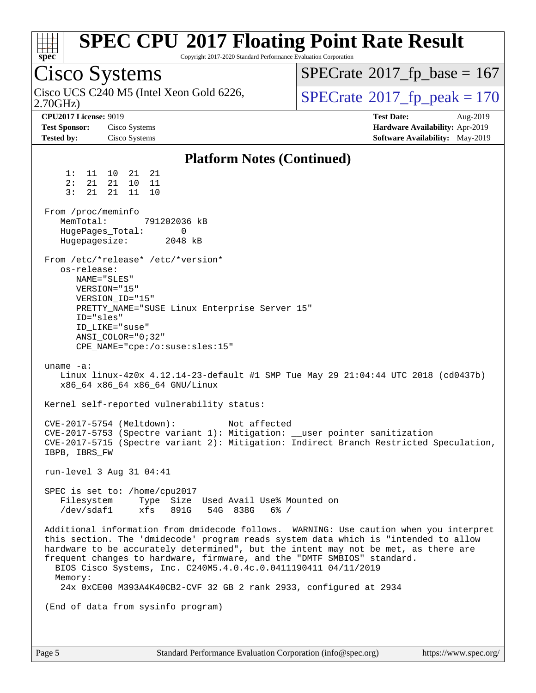| spec <sup>®</sup>                                                                                                                                                                                            | <b>SPEC CPU®2017 Floating Point Rate Result</b><br>Copyright 2017-2020 Standard Performance Evaluation Corporation                                                                                                                                                                                                                                                                                                                                                                                                                                                                                                                                                                                                                                                                                                                                                                                                                                                                                                                                                          |                                                                                                                                                                                  |
|--------------------------------------------------------------------------------------------------------------------------------------------------------------------------------------------------------------|-----------------------------------------------------------------------------------------------------------------------------------------------------------------------------------------------------------------------------------------------------------------------------------------------------------------------------------------------------------------------------------------------------------------------------------------------------------------------------------------------------------------------------------------------------------------------------------------------------------------------------------------------------------------------------------------------------------------------------------------------------------------------------------------------------------------------------------------------------------------------------------------------------------------------------------------------------------------------------------------------------------------------------------------------------------------------------|----------------------------------------------------------------------------------------------------------------------------------------------------------------------------------|
| Cisco Systems                                                                                                                                                                                                |                                                                                                                                                                                                                                                                                                                                                                                                                                                                                                                                                                                                                                                                                                                                                                                                                                                                                                                                                                                                                                                                             | $SPECrate^{\circ}2017$ _fp_base = 167                                                                                                                                            |
| 2.70GHz                                                                                                                                                                                                      | Cisco UCS C240 M5 (Intel Xeon Gold 6226,                                                                                                                                                                                                                                                                                                                                                                                                                                                                                                                                                                                                                                                                                                                                                                                                                                                                                                                                                                                                                                    | $SPECrate^{\circ}2017$ _fp_peak = 170                                                                                                                                            |
| <b>CPU2017 License: 9019</b><br><b>Test Sponsor:</b><br>Tested by:                                                                                                                                           | Cisco Systems<br>Cisco Systems                                                                                                                                                                                                                                                                                                                                                                                                                                                                                                                                                                                                                                                                                                                                                                                                                                                                                                                                                                                                                                              | <b>Test Date:</b><br>Aug-2019<br>Hardware Availability: Apr-2019<br>Software Availability: May-2019                                                                              |
|                                                                                                                                                                                                              | <b>Platform Notes (Continued)</b>                                                                                                                                                                                                                                                                                                                                                                                                                                                                                                                                                                                                                                                                                                                                                                                                                                                                                                                                                                                                                                           |                                                                                                                                                                                  |
| 1:<br>11<br>2:<br>21<br>3:<br>21<br>From /proc/meminfo<br>MemTotal:<br>HugePages_Total:<br>Hugepagesize:<br>os-release:<br>ID="sles"<br>uname $-a$ :<br>IBPB, IBRS_FW<br>Filesystem<br>/dev/sdaf1<br>Memory: | 10<br>21<br>21<br>21<br>10<br>11<br>21<br>11<br>10<br>791202036 kB<br>0<br>2048 kB<br>From /etc/*release* /etc/*version*<br>NAME="SLES"<br>VERSION="15"<br>VERSION_ID="15"<br>PRETTY_NAME="SUSE Linux Enterprise Server 15"<br>ID LIKE="suse"<br>$ANSI$ _COLOR="0;32"<br>$CPE\_NAME='cpe://o:suse: sles:15"$<br>Linux linux-4z0x 4.12.14-23-default #1 SMP Tue May 29 21:04:44 UTC 2018 (cd0437b)<br>x86_64 x86_64 x86_64 GNU/Linux<br>Kernel self-reported vulnerability status:<br>Not affected<br>CVE-2017-5754 (Meltdown):<br>CVE-2017-5753 (Spectre variant 1): Mitigation: __user pointer sanitization<br>run-level 3 Aug 31 04:41<br>SPEC is set to: /home/cpu2017<br>Type Size Used Avail Use% Mounted on<br>xfs<br>891G<br>54G 838G 6% /<br>this section. The 'dmidecode' program reads system data which is "intended to allow<br>hardware to be accurately determined", but the intent may not be met, as there are<br>frequent changes to hardware, firmware, and the "DMTF SMBIOS" standard.<br>BIOS Cisco Systems, Inc. C240M5.4.0.4c.0.0411190411 04/11/2019 | CVE-2017-5715 (Spectre variant 2): Mitigation: Indirect Branch Restricted Speculation,<br>Additional information from dmidecode follows. WARNING: Use caution when you interpret |
|                                                                                                                                                                                                              | 24x 0xCE00 M393A4K40CB2-CVF 32 GB 2 rank 2933, configured at 2934                                                                                                                                                                                                                                                                                                                                                                                                                                                                                                                                                                                                                                                                                                                                                                                                                                                                                                                                                                                                           |                                                                                                                                                                                  |
|                                                                                                                                                                                                              | (End of data from sysinfo program)                                                                                                                                                                                                                                                                                                                                                                                                                                                                                                                                                                                                                                                                                                                                                                                                                                                                                                                                                                                                                                          |                                                                                                                                                                                  |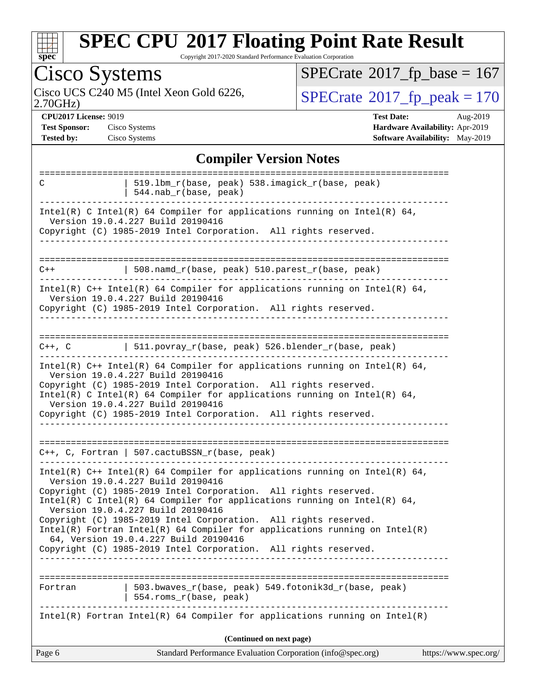

Copyright 2017-2020 Standard Performance Evaluation Corporation

| <b>Cisco Systems</b>                                                                                                                                                                                                                                                                                                                                                     | $SPECrate$ <sup>®</sup> 2017_fp_base = 167                                                          |
|--------------------------------------------------------------------------------------------------------------------------------------------------------------------------------------------------------------------------------------------------------------------------------------------------------------------------------------------------------------------------|-----------------------------------------------------------------------------------------------------|
| Cisco UCS C240 M5 (Intel Xeon Gold 6226,<br>2.70GHz                                                                                                                                                                                                                                                                                                                      | $SPECTate@2017_fp\_peak = 170$                                                                      |
| <b>CPU2017 License: 9019</b><br><b>Test Sponsor:</b><br>Cisco Systems<br>Cisco Systems<br><b>Tested by:</b>                                                                                                                                                                                                                                                              | <b>Test Date:</b><br>Aug-2019<br>Hardware Availability: Apr-2019<br>Software Availability: May-2019 |
| <b>Compiler Version Notes</b>                                                                                                                                                                                                                                                                                                                                            |                                                                                                     |
| 519.1bm_r(base, peak) 538.imagick_r(base, peak)<br>C<br>544.nab_r(base, peak)                                                                                                                                                                                                                                                                                            |                                                                                                     |
| Intel(R) C Intel(R) 64 Compiler for applications running on Intel(R) 64,<br>Version 19.0.4.227 Build 20190416<br>Copyright (C) 1985-2019 Intel Corporation. All rights reserved.                                                                                                                                                                                         |                                                                                                     |
| 508.namd_r(base, peak) 510.parest_r(base, peak)<br>$C++$                                                                                                                                                                                                                                                                                                                 |                                                                                                     |
| $Intel(R)$ C++ Intel(R) 64 Compiler for applications running on Intel(R) 64,<br>Version 19.0.4.227 Build 20190416<br>Copyright (C) 1985-2019 Intel Corporation. All rights reserved.                                                                                                                                                                                     |                                                                                                     |
| $511.povray_r(base, peak) 526.blender_r(base, peak)$<br>$C++$ , $C$                                                                                                                                                                                                                                                                                                      |                                                                                                     |
| Intel(R) $C++$ Intel(R) 64 Compiler for applications running on Intel(R) 64,<br>Version 19.0.4.227 Build 20190416<br>Copyright (C) 1985-2019 Intel Corporation. All rights reserved.<br>Intel(R) C Intel(R) 64 Compiler for applications running on Intel(R) 64,<br>Version 19.0.4.227 Build 20190416<br>Copyright (C) 1985-2019 Intel Corporation. All rights reserved. |                                                                                                     |
| $C++$ , C, Fortran   507.cactuBSSN_r(base, peak)                                                                                                                                                                                                                                                                                                                         |                                                                                                     |
| Intel(R) $C++$ Intel(R) 64 Compiler for applications running on Intel(R) 64,<br>Version 19.0.4.227 Build 20190416<br>Copyright (C) 1985-2019 Intel Corporation. All rights reserved.<br>Intel(R) C Intel(R) 64 Compiler for applications running on Intel(R) 64,<br>Version 19.0.4.227 Build 20190416<br>Copyright (C) 1985-2019 Intel Corporation. All rights reserved. |                                                                                                     |
| $Intel(R)$ Fortran Intel(R) 64 Compiler for applications running on Intel(R)<br>64, Version 19.0.4.227 Build 20190416<br>Copyright (C) 1985-2019 Intel Corporation. All rights reserved.                                                                                                                                                                                 |                                                                                                     |
| 503.bwaves_r(base, peak) 549.fotonik3d_r(base, peak)<br>Fortran<br>554.roms_r(base, peak)                                                                                                                                                                                                                                                                                | -----------------------------------                                                                 |
| $Intel(R)$ Fortran Intel(R) 64 Compiler for applications running on Intel(R)                                                                                                                                                                                                                                                                                             |                                                                                                     |
| (Continued on next page)                                                                                                                                                                                                                                                                                                                                                 |                                                                                                     |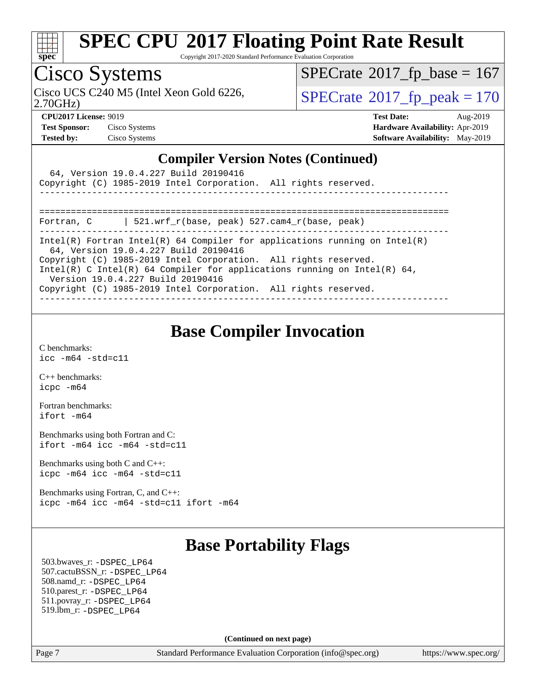

Copyright 2017-2020 Standard Performance Evaluation Corporation

### Cisco Systems

 $SPECTate$ <sup>®</sup>[2017\\_fp\\_base =](http://www.spec.org/auto/cpu2017/Docs/result-fields.html#SPECrate2017fpbase) 167

2.70GHz)

Cisco UCS C240 M5 (Intel Xeon Gold 6226,  $\text{SPECrate}^{\otimes}2017\_fp\_peak = 170$  $\text{SPECrate}^{\otimes}2017\_fp\_peak = 170$  $\text{SPECrate}^{\otimes}2017\_fp\_peak = 170$ 

**[Test Sponsor:](http://www.spec.org/auto/cpu2017/Docs/result-fields.html#TestSponsor)** Cisco Systems **[Hardware Availability:](http://www.spec.org/auto/cpu2017/Docs/result-fields.html#HardwareAvailability)** Apr-2019

**[CPU2017 License:](http://www.spec.org/auto/cpu2017/Docs/result-fields.html#CPU2017License)** 9019 **[Test Date:](http://www.spec.org/auto/cpu2017/Docs/result-fields.html#TestDate)** Aug-2019 **[Tested by:](http://www.spec.org/auto/cpu2017/Docs/result-fields.html#Testedby)** Cisco Systems **[Software Availability:](http://www.spec.org/auto/cpu2017/Docs/result-fields.html#SoftwareAvailability)** May-2019

#### **[Compiler Version Notes \(Continued\)](http://www.spec.org/auto/cpu2017/Docs/result-fields.html#CompilerVersionNotes)**

| 64, Version 19.0.4.227 Build 20190416<br>Copyright (C) 1985-2019 Intel Corporation. All rights reserved.                                                                         |  |  |  |  |
|----------------------------------------------------------------------------------------------------------------------------------------------------------------------------------|--|--|--|--|
| 521.wrf r(base, peak) 527.cam4 r(base, peak)<br>Fortran, C                                                                                                                       |  |  |  |  |
| Intel(R) Fortran Intel(R) 64 Compiler for applications running on Intel(R)<br>64, Version 19.0.4.227 Build 20190416                                                              |  |  |  |  |
| Copyright (C) 1985-2019 Intel Corporation. All rights reserved.<br>Intel(R) C Intel(R) 64 Compiler for applications running on Intel(R) 64,<br>Version 19.0.4.227 Build 20190416 |  |  |  |  |
| Copyright (C) 1985-2019 Intel Corporation. All rights reserved.                                                                                                                  |  |  |  |  |

### **[Base Compiler Invocation](http://www.spec.org/auto/cpu2017/Docs/result-fields.html#BaseCompilerInvocation)**

[C benchmarks](http://www.spec.org/auto/cpu2017/Docs/result-fields.html#Cbenchmarks): [icc -m64 -std=c11](http://www.spec.org/cpu2017/results/res2019q3/cpu2017-20190903-17760.flags.html#user_CCbase_intel_icc_64bit_c11_33ee0cdaae7deeeab2a9725423ba97205ce30f63b9926c2519791662299b76a0318f32ddfffdc46587804de3178b4f9328c46fa7c2b0cd779d7a61945c91cd35)

[C++ benchmarks:](http://www.spec.org/auto/cpu2017/Docs/result-fields.html#CXXbenchmarks) [icpc -m64](http://www.spec.org/cpu2017/results/res2019q3/cpu2017-20190903-17760.flags.html#user_CXXbase_intel_icpc_64bit_4ecb2543ae3f1412ef961e0650ca070fec7b7afdcd6ed48761b84423119d1bf6bdf5cad15b44d48e7256388bc77273b966e5eb805aefd121eb22e9299b2ec9d9)

[Fortran benchmarks](http://www.spec.org/auto/cpu2017/Docs/result-fields.html#Fortranbenchmarks): [ifort -m64](http://www.spec.org/cpu2017/results/res2019q3/cpu2017-20190903-17760.flags.html#user_FCbase_intel_ifort_64bit_24f2bb282fbaeffd6157abe4f878425411749daecae9a33200eee2bee2fe76f3b89351d69a8130dd5949958ce389cf37ff59a95e7a40d588e8d3a57e0c3fd751)

[Benchmarks using both Fortran and C](http://www.spec.org/auto/cpu2017/Docs/result-fields.html#BenchmarksusingbothFortranandC): [ifort -m64](http://www.spec.org/cpu2017/results/res2019q3/cpu2017-20190903-17760.flags.html#user_CC_FCbase_intel_ifort_64bit_24f2bb282fbaeffd6157abe4f878425411749daecae9a33200eee2bee2fe76f3b89351d69a8130dd5949958ce389cf37ff59a95e7a40d588e8d3a57e0c3fd751) [icc -m64 -std=c11](http://www.spec.org/cpu2017/results/res2019q3/cpu2017-20190903-17760.flags.html#user_CC_FCbase_intel_icc_64bit_c11_33ee0cdaae7deeeab2a9725423ba97205ce30f63b9926c2519791662299b76a0318f32ddfffdc46587804de3178b4f9328c46fa7c2b0cd779d7a61945c91cd35)

[Benchmarks using both C and C++](http://www.spec.org/auto/cpu2017/Docs/result-fields.html#BenchmarksusingbothCandCXX): [icpc -m64](http://www.spec.org/cpu2017/results/res2019q3/cpu2017-20190903-17760.flags.html#user_CC_CXXbase_intel_icpc_64bit_4ecb2543ae3f1412ef961e0650ca070fec7b7afdcd6ed48761b84423119d1bf6bdf5cad15b44d48e7256388bc77273b966e5eb805aefd121eb22e9299b2ec9d9) [icc -m64 -std=c11](http://www.spec.org/cpu2017/results/res2019q3/cpu2017-20190903-17760.flags.html#user_CC_CXXbase_intel_icc_64bit_c11_33ee0cdaae7deeeab2a9725423ba97205ce30f63b9926c2519791662299b76a0318f32ddfffdc46587804de3178b4f9328c46fa7c2b0cd779d7a61945c91cd35)

[Benchmarks using Fortran, C, and C++:](http://www.spec.org/auto/cpu2017/Docs/result-fields.html#BenchmarksusingFortranCandCXX) [icpc -m64](http://www.spec.org/cpu2017/results/res2019q3/cpu2017-20190903-17760.flags.html#user_CC_CXX_FCbase_intel_icpc_64bit_4ecb2543ae3f1412ef961e0650ca070fec7b7afdcd6ed48761b84423119d1bf6bdf5cad15b44d48e7256388bc77273b966e5eb805aefd121eb22e9299b2ec9d9) [icc -m64 -std=c11](http://www.spec.org/cpu2017/results/res2019q3/cpu2017-20190903-17760.flags.html#user_CC_CXX_FCbase_intel_icc_64bit_c11_33ee0cdaae7deeeab2a9725423ba97205ce30f63b9926c2519791662299b76a0318f32ddfffdc46587804de3178b4f9328c46fa7c2b0cd779d7a61945c91cd35) [ifort -m64](http://www.spec.org/cpu2017/results/res2019q3/cpu2017-20190903-17760.flags.html#user_CC_CXX_FCbase_intel_ifort_64bit_24f2bb282fbaeffd6157abe4f878425411749daecae9a33200eee2bee2fe76f3b89351d69a8130dd5949958ce389cf37ff59a95e7a40d588e8d3a57e0c3fd751)

### **[Base Portability Flags](http://www.spec.org/auto/cpu2017/Docs/result-fields.html#BasePortabilityFlags)**

 503.bwaves\_r: [-DSPEC\\_LP64](http://www.spec.org/cpu2017/results/res2019q3/cpu2017-20190903-17760.flags.html#suite_basePORTABILITY503_bwaves_r_DSPEC_LP64) 507.cactuBSSN\_r: [-DSPEC\\_LP64](http://www.spec.org/cpu2017/results/res2019q3/cpu2017-20190903-17760.flags.html#suite_basePORTABILITY507_cactuBSSN_r_DSPEC_LP64) 508.namd\_r: [-DSPEC\\_LP64](http://www.spec.org/cpu2017/results/res2019q3/cpu2017-20190903-17760.flags.html#suite_basePORTABILITY508_namd_r_DSPEC_LP64) 510.parest\_r: [-DSPEC\\_LP64](http://www.spec.org/cpu2017/results/res2019q3/cpu2017-20190903-17760.flags.html#suite_basePORTABILITY510_parest_r_DSPEC_LP64) 511.povray\_r: [-DSPEC\\_LP64](http://www.spec.org/cpu2017/results/res2019q3/cpu2017-20190903-17760.flags.html#suite_basePORTABILITY511_povray_r_DSPEC_LP64) 519.lbm\_r: [-DSPEC\\_LP64](http://www.spec.org/cpu2017/results/res2019q3/cpu2017-20190903-17760.flags.html#suite_basePORTABILITY519_lbm_r_DSPEC_LP64)

**(Continued on next page)**

Page 7 Standard Performance Evaluation Corporation [\(info@spec.org\)](mailto:info@spec.org) <https://www.spec.org/>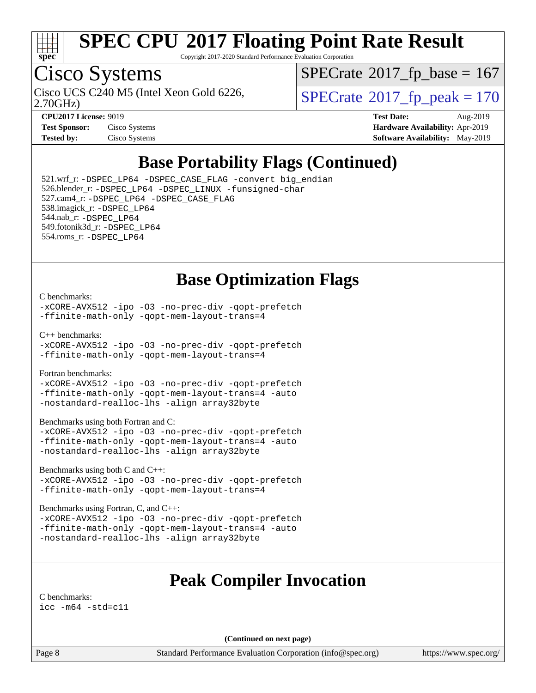

Copyright 2017-2020 Standard Performance Evaluation Corporation

### Cisco Systems

 $SPECTate$ <sup>®</sup>[2017\\_fp\\_base =](http://www.spec.org/auto/cpu2017/Docs/result-fields.html#SPECrate2017fpbase) 167

2.70GHz)

Cisco UCS C240 M5 (Intel Xeon Gold 6226,  $\vert$ [SPECrate](http://www.spec.org/auto/cpu2017/Docs/result-fields.html#SPECrate2017fppeak)®[2017\\_fp\\_peak = 1](http://www.spec.org/auto/cpu2017/Docs/result-fields.html#SPECrate2017fppeak)70

**[CPU2017 License:](http://www.spec.org/auto/cpu2017/Docs/result-fields.html#CPU2017License)** 9019 **[Test Date:](http://www.spec.org/auto/cpu2017/Docs/result-fields.html#TestDate)** Aug-2019 **[Test Sponsor:](http://www.spec.org/auto/cpu2017/Docs/result-fields.html#TestSponsor)** Cisco Systems **[Hardware Availability:](http://www.spec.org/auto/cpu2017/Docs/result-fields.html#HardwareAvailability)** Apr-2019 **[Tested by:](http://www.spec.org/auto/cpu2017/Docs/result-fields.html#Testedby)** Cisco Systems **[Software Availability:](http://www.spec.org/auto/cpu2017/Docs/result-fields.html#SoftwareAvailability)** May-2019

### **[Base Portability Flags \(Continued\)](http://www.spec.org/auto/cpu2017/Docs/result-fields.html#BasePortabilityFlags)**

 521.wrf\_r: [-DSPEC\\_LP64](http://www.spec.org/cpu2017/results/res2019q3/cpu2017-20190903-17760.flags.html#suite_basePORTABILITY521_wrf_r_DSPEC_LP64) [-DSPEC\\_CASE\\_FLAG](http://www.spec.org/cpu2017/results/res2019q3/cpu2017-20190903-17760.flags.html#b521.wrf_r_baseCPORTABILITY_DSPEC_CASE_FLAG) [-convert big\\_endian](http://www.spec.org/cpu2017/results/res2019q3/cpu2017-20190903-17760.flags.html#user_baseFPORTABILITY521_wrf_r_convert_big_endian_c3194028bc08c63ac5d04de18c48ce6d347e4e562e8892b8bdbdc0214820426deb8554edfa529a3fb25a586e65a3d812c835984020483e7e73212c4d31a38223) 526.blender\_r: [-DSPEC\\_LP64](http://www.spec.org/cpu2017/results/res2019q3/cpu2017-20190903-17760.flags.html#suite_basePORTABILITY526_blender_r_DSPEC_LP64) [-DSPEC\\_LINUX](http://www.spec.org/cpu2017/results/res2019q3/cpu2017-20190903-17760.flags.html#b526.blender_r_baseCPORTABILITY_DSPEC_LINUX) [-funsigned-char](http://www.spec.org/cpu2017/results/res2019q3/cpu2017-20190903-17760.flags.html#user_baseCPORTABILITY526_blender_r_force_uchar_40c60f00ab013830e2dd6774aeded3ff59883ba5a1fc5fc14077f794d777847726e2a5858cbc7672e36e1b067e7e5c1d9a74f7176df07886a243d7cc18edfe67) 527.cam4\_r: [-DSPEC\\_LP64](http://www.spec.org/cpu2017/results/res2019q3/cpu2017-20190903-17760.flags.html#suite_basePORTABILITY527_cam4_r_DSPEC_LP64) [-DSPEC\\_CASE\\_FLAG](http://www.spec.org/cpu2017/results/res2019q3/cpu2017-20190903-17760.flags.html#b527.cam4_r_baseCPORTABILITY_DSPEC_CASE_FLAG) 538.imagick\_r: [-DSPEC\\_LP64](http://www.spec.org/cpu2017/results/res2019q3/cpu2017-20190903-17760.flags.html#suite_basePORTABILITY538_imagick_r_DSPEC_LP64) 544.nab\_r: [-DSPEC\\_LP64](http://www.spec.org/cpu2017/results/res2019q3/cpu2017-20190903-17760.flags.html#suite_basePORTABILITY544_nab_r_DSPEC_LP64) 549.fotonik3d\_r: [-DSPEC\\_LP64](http://www.spec.org/cpu2017/results/res2019q3/cpu2017-20190903-17760.flags.html#suite_basePORTABILITY549_fotonik3d_r_DSPEC_LP64) 554.roms\_r: [-DSPEC\\_LP64](http://www.spec.org/cpu2017/results/res2019q3/cpu2017-20190903-17760.flags.html#suite_basePORTABILITY554_roms_r_DSPEC_LP64)

### **[Base Optimization Flags](http://www.spec.org/auto/cpu2017/Docs/result-fields.html#BaseOptimizationFlags)**

#### [C benchmarks](http://www.spec.org/auto/cpu2017/Docs/result-fields.html#Cbenchmarks):

[-xCORE-AVX512](http://www.spec.org/cpu2017/results/res2019q3/cpu2017-20190903-17760.flags.html#user_CCbase_f-xCORE-AVX512) [-ipo](http://www.spec.org/cpu2017/results/res2019q3/cpu2017-20190903-17760.flags.html#user_CCbase_f-ipo) [-O3](http://www.spec.org/cpu2017/results/res2019q3/cpu2017-20190903-17760.flags.html#user_CCbase_f-O3) [-no-prec-div](http://www.spec.org/cpu2017/results/res2019q3/cpu2017-20190903-17760.flags.html#user_CCbase_f-no-prec-div) [-qopt-prefetch](http://www.spec.org/cpu2017/results/res2019q3/cpu2017-20190903-17760.flags.html#user_CCbase_f-qopt-prefetch) [-ffinite-math-only](http://www.spec.org/cpu2017/results/res2019q3/cpu2017-20190903-17760.flags.html#user_CCbase_f_finite_math_only_cb91587bd2077682c4b38af759c288ed7c732db004271a9512da14a4f8007909a5f1427ecbf1a0fb78ff2a814402c6114ac565ca162485bbcae155b5e4258871) [-qopt-mem-layout-trans=4](http://www.spec.org/cpu2017/results/res2019q3/cpu2017-20190903-17760.flags.html#user_CCbase_f-qopt-mem-layout-trans_fa39e755916c150a61361b7846f310bcdf6f04e385ef281cadf3647acec3f0ae266d1a1d22d972a7087a248fd4e6ca390a3634700869573d231a252c784941a8)

[C++ benchmarks:](http://www.spec.org/auto/cpu2017/Docs/result-fields.html#CXXbenchmarks)

[-xCORE-AVX512](http://www.spec.org/cpu2017/results/res2019q3/cpu2017-20190903-17760.flags.html#user_CXXbase_f-xCORE-AVX512) [-ipo](http://www.spec.org/cpu2017/results/res2019q3/cpu2017-20190903-17760.flags.html#user_CXXbase_f-ipo) [-O3](http://www.spec.org/cpu2017/results/res2019q3/cpu2017-20190903-17760.flags.html#user_CXXbase_f-O3) [-no-prec-div](http://www.spec.org/cpu2017/results/res2019q3/cpu2017-20190903-17760.flags.html#user_CXXbase_f-no-prec-div) [-qopt-prefetch](http://www.spec.org/cpu2017/results/res2019q3/cpu2017-20190903-17760.flags.html#user_CXXbase_f-qopt-prefetch) [-ffinite-math-only](http://www.spec.org/cpu2017/results/res2019q3/cpu2017-20190903-17760.flags.html#user_CXXbase_f_finite_math_only_cb91587bd2077682c4b38af759c288ed7c732db004271a9512da14a4f8007909a5f1427ecbf1a0fb78ff2a814402c6114ac565ca162485bbcae155b5e4258871) [-qopt-mem-layout-trans=4](http://www.spec.org/cpu2017/results/res2019q3/cpu2017-20190903-17760.flags.html#user_CXXbase_f-qopt-mem-layout-trans_fa39e755916c150a61361b7846f310bcdf6f04e385ef281cadf3647acec3f0ae266d1a1d22d972a7087a248fd4e6ca390a3634700869573d231a252c784941a8)

[Fortran benchmarks](http://www.spec.org/auto/cpu2017/Docs/result-fields.html#Fortranbenchmarks):

[-xCORE-AVX512](http://www.spec.org/cpu2017/results/res2019q3/cpu2017-20190903-17760.flags.html#user_FCbase_f-xCORE-AVX512) [-ipo](http://www.spec.org/cpu2017/results/res2019q3/cpu2017-20190903-17760.flags.html#user_FCbase_f-ipo) [-O3](http://www.spec.org/cpu2017/results/res2019q3/cpu2017-20190903-17760.flags.html#user_FCbase_f-O3) [-no-prec-div](http://www.spec.org/cpu2017/results/res2019q3/cpu2017-20190903-17760.flags.html#user_FCbase_f-no-prec-div) [-qopt-prefetch](http://www.spec.org/cpu2017/results/res2019q3/cpu2017-20190903-17760.flags.html#user_FCbase_f-qopt-prefetch) [-ffinite-math-only](http://www.spec.org/cpu2017/results/res2019q3/cpu2017-20190903-17760.flags.html#user_FCbase_f_finite_math_only_cb91587bd2077682c4b38af759c288ed7c732db004271a9512da14a4f8007909a5f1427ecbf1a0fb78ff2a814402c6114ac565ca162485bbcae155b5e4258871) [-qopt-mem-layout-trans=4](http://www.spec.org/cpu2017/results/res2019q3/cpu2017-20190903-17760.flags.html#user_FCbase_f-qopt-mem-layout-trans_fa39e755916c150a61361b7846f310bcdf6f04e385ef281cadf3647acec3f0ae266d1a1d22d972a7087a248fd4e6ca390a3634700869573d231a252c784941a8) [-auto](http://www.spec.org/cpu2017/results/res2019q3/cpu2017-20190903-17760.flags.html#user_FCbase_f-auto) [-nostandard-realloc-lhs](http://www.spec.org/cpu2017/results/res2019q3/cpu2017-20190903-17760.flags.html#user_FCbase_f_2003_std_realloc_82b4557e90729c0f113870c07e44d33d6f5a304b4f63d4c15d2d0f1fab99f5daaed73bdb9275d9ae411527f28b936061aa8b9c8f2d63842963b95c9dd6426b8a) [-align array32byte](http://www.spec.org/cpu2017/results/res2019q3/cpu2017-20190903-17760.flags.html#user_FCbase_align_array32byte_b982fe038af199962ba9a80c053b8342c548c85b40b8e86eb3cc33dee0d7986a4af373ac2d51c3f7cf710a18d62fdce2948f201cd044323541f22fc0fffc51b6)

[Benchmarks using both Fortran and C](http://www.spec.org/auto/cpu2017/Docs/result-fields.html#BenchmarksusingbothFortranandC):

[-xCORE-AVX512](http://www.spec.org/cpu2017/results/res2019q3/cpu2017-20190903-17760.flags.html#user_CC_FCbase_f-xCORE-AVX512) [-ipo](http://www.spec.org/cpu2017/results/res2019q3/cpu2017-20190903-17760.flags.html#user_CC_FCbase_f-ipo) [-O3](http://www.spec.org/cpu2017/results/res2019q3/cpu2017-20190903-17760.flags.html#user_CC_FCbase_f-O3) [-no-prec-div](http://www.spec.org/cpu2017/results/res2019q3/cpu2017-20190903-17760.flags.html#user_CC_FCbase_f-no-prec-div) [-qopt-prefetch](http://www.spec.org/cpu2017/results/res2019q3/cpu2017-20190903-17760.flags.html#user_CC_FCbase_f-qopt-prefetch) [-ffinite-math-only](http://www.spec.org/cpu2017/results/res2019q3/cpu2017-20190903-17760.flags.html#user_CC_FCbase_f_finite_math_only_cb91587bd2077682c4b38af759c288ed7c732db004271a9512da14a4f8007909a5f1427ecbf1a0fb78ff2a814402c6114ac565ca162485bbcae155b5e4258871) [-qopt-mem-layout-trans=4](http://www.spec.org/cpu2017/results/res2019q3/cpu2017-20190903-17760.flags.html#user_CC_FCbase_f-qopt-mem-layout-trans_fa39e755916c150a61361b7846f310bcdf6f04e385ef281cadf3647acec3f0ae266d1a1d22d972a7087a248fd4e6ca390a3634700869573d231a252c784941a8) [-auto](http://www.spec.org/cpu2017/results/res2019q3/cpu2017-20190903-17760.flags.html#user_CC_FCbase_f-auto) [-nostandard-realloc-lhs](http://www.spec.org/cpu2017/results/res2019q3/cpu2017-20190903-17760.flags.html#user_CC_FCbase_f_2003_std_realloc_82b4557e90729c0f113870c07e44d33d6f5a304b4f63d4c15d2d0f1fab99f5daaed73bdb9275d9ae411527f28b936061aa8b9c8f2d63842963b95c9dd6426b8a) [-align array32byte](http://www.spec.org/cpu2017/results/res2019q3/cpu2017-20190903-17760.flags.html#user_CC_FCbase_align_array32byte_b982fe038af199962ba9a80c053b8342c548c85b40b8e86eb3cc33dee0d7986a4af373ac2d51c3f7cf710a18d62fdce2948f201cd044323541f22fc0fffc51b6)

[Benchmarks using both C and C++](http://www.spec.org/auto/cpu2017/Docs/result-fields.html#BenchmarksusingbothCandCXX):

[-xCORE-AVX512](http://www.spec.org/cpu2017/results/res2019q3/cpu2017-20190903-17760.flags.html#user_CC_CXXbase_f-xCORE-AVX512) [-ipo](http://www.spec.org/cpu2017/results/res2019q3/cpu2017-20190903-17760.flags.html#user_CC_CXXbase_f-ipo) [-O3](http://www.spec.org/cpu2017/results/res2019q3/cpu2017-20190903-17760.flags.html#user_CC_CXXbase_f-O3) [-no-prec-div](http://www.spec.org/cpu2017/results/res2019q3/cpu2017-20190903-17760.flags.html#user_CC_CXXbase_f-no-prec-div) [-qopt-prefetch](http://www.spec.org/cpu2017/results/res2019q3/cpu2017-20190903-17760.flags.html#user_CC_CXXbase_f-qopt-prefetch) [-ffinite-math-only](http://www.spec.org/cpu2017/results/res2019q3/cpu2017-20190903-17760.flags.html#user_CC_CXXbase_f_finite_math_only_cb91587bd2077682c4b38af759c288ed7c732db004271a9512da14a4f8007909a5f1427ecbf1a0fb78ff2a814402c6114ac565ca162485bbcae155b5e4258871) [-qopt-mem-layout-trans=4](http://www.spec.org/cpu2017/results/res2019q3/cpu2017-20190903-17760.flags.html#user_CC_CXXbase_f-qopt-mem-layout-trans_fa39e755916c150a61361b7846f310bcdf6f04e385ef281cadf3647acec3f0ae266d1a1d22d972a7087a248fd4e6ca390a3634700869573d231a252c784941a8)

[Benchmarks using Fortran, C, and C++:](http://www.spec.org/auto/cpu2017/Docs/result-fields.html#BenchmarksusingFortranCandCXX)

[-xCORE-AVX512](http://www.spec.org/cpu2017/results/res2019q3/cpu2017-20190903-17760.flags.html#user_CC_CXX_FCbase_f-xCORE-AVX512) [-ipo](http://www.spec.org/cpu2017/results/res2019q3/cpu2017-20190903-17760.flags.html#user_CC_CXX_FCbase_f-ipo) [-O3](http://www.spec.org/cpu2017/results/res2019q3/cpu2017-20190903-17760.flags.html#user_CC_CXX_FCbase_f-O3) [-no-prec-div](http://www.spec.org/cpu2017/results/res2019q3/cpu2017-20190903-17760.flags.html#user_CC_CXX_FCbase_f-no-prec-div) [-qopt-prefetch](http://www.spec.org/cpu2017/results/res2019q3/cpu2017-20190903-17760.flags.html#user_CC_CXX_FCbase_f-qopt-prefetch) [-ffinite-math-only](http://www.spec.org/cpu2017/results/res2019q3/cpu2017-20190903-17760.flags.html#user_CC_CXX_FCbase_f_finite_math_only_cb91587bd2077682c4b38af759c288ed7c732db004271a9512da14a4f8007909a5f1427ecbf1a0fb78ff2a814402c6114ac565ca162485bbcae155b5e4258871) [-qopt-mem-layout-trans=4](http://www.spec.org/cpu2017/results/res2019q3/cpu2017-20190903-17760.flags.html#user_CC_CXX_FCbase_f-qopt-mem-layout-trans_fa39e755916c150a61361b7846f310bcdf6f04e385ef281cadf3647acec3f0ae266d1a1d22d972a7087a248fd4e6ca390a3634700869573d231a252c784941a8) [-auto](http://www.spec.org/cpu2017/results/res2019q3/cpu2017-20190903-17760.flags.html#user_CC_CXX_FCbase_f-auto) [-nostandard-realloc-lhs](http://www.spec.org/cpu2017/results/res2019q3/cpu2017-20190903-17760.flags.html#user_CC_CXX_FCbase_f_2003_std_realloc_82b4557e90729c0f113870c07e44d33d6f5a304b4f63d4c15d2d0f1fab99f5daaed73bdb9275d9ae411527f28b936061aa8b9c8f2d63842963b95c9dd6426b8a) [-align array32byte](http://www.spec.org/cpu2017/results/res2019q3/cpu2017-20190903-17760.flags.html#user_CC_CXX_FCbase_align_array32byte_b982fe038af199962ba9a80c053b8342c548c85b40b8e86eb3cc33dee0d7986a4af373ac2d51c3f7cf710a18d62fdce2948f201cd044323541f22fc0fffc51b6)

#### **[Peak Compiler Invocation](http://www.spec.org/auto/cpu2017/Docs/result-fields.html#PeakCompilerInvocation)**

[C benchmarks](http://www.spec.org/auto/cpu2017/Docs/result-fields.html#Cbenchmarks): [icc -m64 -std=c11](http://www.spec.org/cpu2017/results/res2019q3/cpu2017-20190903-17760.flags.html#user_CCpeak_intel_icc_64bit_c11_33ee0cdaae7deeeab2a9725423ba97205ce30f63b9926c2519791662299b76a0318f32ddfffdc46587804de3178b4f9328c46fa7c2b0cd779d7a61945c91cd35)

**(Continued on next page)**

Page 8 Standard Performance Evaluation Corporation [\(info@spec.org\)](mailto:info@spec.org) <https://www.spec.org/>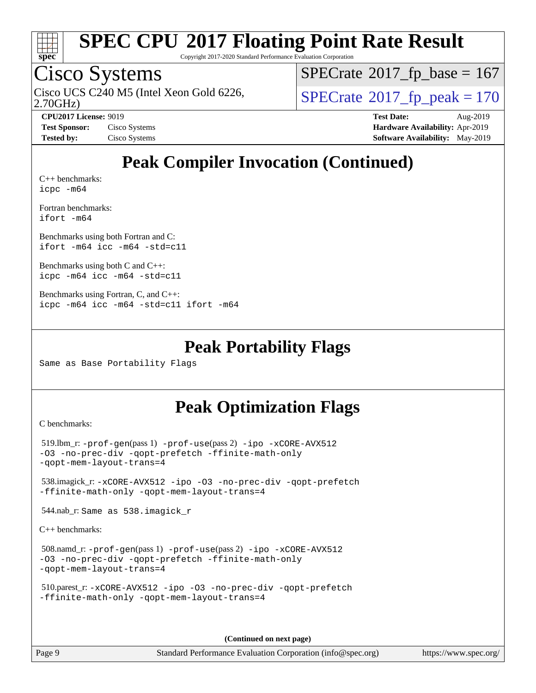

Copyright 2017-2020 Standard Performance Evaluation Corporation

### Cisco Systems

Cisco UCS C240 M5 (Intel Xeon Gold 6226,  $\text{SPECrate}$  $\text{SPECrate}$  $\text{SPECrate}$ <sup>®</sup>[2017\\_fp\\_peak = 1](http://www.spec.org/auto/cpu2017/Docs/result-fields.html#SPECrate2017fppeak)70

 $SPECTate$ <sup>®</sup>[2017\\_fp\\_base =](http://www.spec.org/auto/cpu2017/Docs/result-fields.html#SPECrate2017fpbase) 167

2.70GHz)

**[Test Sponsor:](http://www.spec.org/auto/cpu2017/Docs/result-fields.html#TestSponsor)** Cisco Systems **[Hardware Availability:](http://www.spec.org/auto/cpu2017/Docs/result-fields.html#HardwareAvailability)** Apr-2019 **[Tested by:](http://www.spec.org/auto/cpu2017/Docs/result-fields.html#Testedby)** Cisco Systems **[Software Availability:](http://www.spec.org/auto/cpu2017/Docs/result-fields.html#SoftwareAvailability)** May-2019

**[CPU2017 License:](http://www.spec.org/auto/cpu2017/Docs/result-fields.html#CPU2017License)** 9019 **[Test Date:](http://www.spec.org/auto/cpu2017/Docs/result-fields.html#TestDate)** Aug-2019

### **[Peak Compiler Invocation \(Continued\)](http://www.spec.org/auto/cpu2017/Docs/result-fields.html#PeakCompilerInvocation)**

[C++ benchmarks:](http://www.spec.org/auto/cpu2017/Docs/result-fields.html#CXXbenchmarks) [icpc -m64](http://www.spec.org/cpu2017/results/res2019q3/cpu2017-20190903-17760.flags.html#user_CXXpeak_intel_icpc_64bit_4ecb2543ae3f1412ef961e0650ca070fec7b7afdcd6ed48761b84423119d1bf6bdf5cad15b44d48e7256388bc77273b966e5eb805aefd121eb22e9299b2ec9d9)

[Fortran benchmarks](http://www.spec.org/auto/cpu2017/Docs/result-fields.html#Fortranbenchmarks): [ifort -m64](http://www.spec.org/cpu2017/results/res2019q3/cpu2017-20190903-17760.flags.html#user_FCpeak_intel_ifort_64bit_24f2bb282fbaeffd6157abe4f878425411749daecae9a33200eee2bee2fe76f3b89351d69a8130dd5949958ce389cf37ff59a95e7a40d588e8d3a57e0c3fd751)

[Benchmarks using both Fortran and C](http://www.spec.org/auto/cpu2017/Docs/result-fields.html#BenchmarksusingbothFortranandC): [ifort -m64](http://www.spec.org/cpu2017/results/res2019q3/cpu2017-20190903-17760.flags.html#user_CC_FCpeak_intel_ifort_64bit_24f2bb282fbaeffd6157abe4f878425411749daecae9a33200eee2bee2fe76f3b89351d69a8130dd5949958ce389cf37ff59a95e7a40d588e8d3a57e0c3fd751) [icc -m64 -std=c11](http://www.spec.org/cpu2017/results/res2019q3/cpu2017-20190903-17760.flags.html#user_CC_FCpeak_intel_icc_64bit_c11_33ee0cdaae7deeeab2a9725423ba97205ce30f63b9926c2519791662299b76a0318f32ddfffdc46587804de3178b4f9328c46fa7c2b0cd779d7a61945c91cd35)

[Benchmarks using both C and C++](http://www.spec.org/auto/cpu2017/Docs/result-fields.html#BenchmarksusingbothCandCXX): [icpc -m64](http://www.spec.org/cpu2017/results/res2019q3/cpu2017-20190903-17760.flags.html#user_CC_CXXpeak_intel_icpc_64bit_4ecb2543ae3f1412ef961e0650ca070fec7b7afdcd6ed48761b84423119d1bf6bdf5cad15b44d48e7256388bc77273b966e5eb805aefd121eb22e9299b2ec9d9) [icc -m64 -std=c11](http://www.spec.org/cpu2017/results/res2019q3/cpu2017-20190903-17760.flags.html#user_CC_CXXpeak_intel_icc_64bit_c11_33ee0cdaae7deeeab2a9725423ba97205ce30f63b9926c2519791662299b76a0318f32ddfffdc46587804de3178b4f9328c46fa7c2b0cd779d7a61945c91cd35)

```
Benchmarks using Fortran, C, and C++: 
icpc -m64 icc -m64 -std=c11 ifort -m64
```
#### **[Peak Portability Flags](http://www.spec.org/auto/cpu2017/Docs/result-fields.html#PeakPortabilityFlags)**

Same as Base Portability Flags

### **[Peak Optimization Flags](http://www.spec.org/auto/cpu2017/Docs/result-fields.html#PeakOptimizationFlags)**

[C benchmarks](http://www.spec.org/auto/cpu2017/Docs/result-fields.html#Cbenchmarks):

```
 519.lbm_r: -prof-gen(pass 1) -prof-use(pass 2) -ipo -xCORE-AVX512
-O3 -no-prec-div -qopt-prefetch -ffinite-math-only
-qopt-mem-layout-trans=4
 538.imagick_r: -xCORE-AVX512 -ipo -O3 -no-prec-div -qopt-prefetch
-ffinite-math-only -qopt-mem-layout-trans=4
 544.nab_r: Same as 538.imagick_r
C++ benchmarks:
```

```
 508.namd_r: -prof-gen(pass 1) -prof-use(pass 2) -ipo -xCORE-AVX512
-O3 -no-prec-div -qopt-prefetch -ffinite-math-only
-qopt-mem-layout-trans=4
```

```
 510.parest_r: -xCORE-AVX512 -ipo -O3 -no-prec-div -qopt-prefetch
-ffinite-math-only -qopt-mem-layout-trans=4
```
**(Continued on next page)**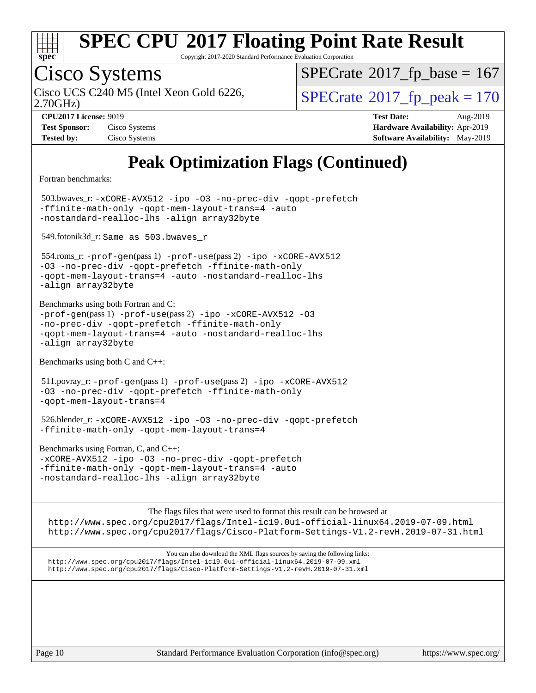

Copyright 2017-2020 Standard Performance Evaluation Corporation

# Cisco Systems

 $SPECrate$ <sup>®</sup>[2017\\_fp\\_base =](http://www.spec.org/auto/cpu2017/Docs/result-fields.html#SPECrate2017fpbase) 167

2.70GHz)

Cisco UCS C240 M5 (Intel Xeon Gold 6226,  $\vert$ [SPECrate](http://www.spec.org/auto/cpu2017/Docs/result-fields.html#SPECrate2017fppeak)®[2017\\_fp\\_peak = 1](http://www.spec.org/auto/cpu2017/Docs/result-fields.html#SPECrate2017fppeak)70

**[Tested by:](http://www.spec.org/auto/cpu2017/Docs/result-fields.html#Testedby)** Cisco Systems **[Software Availability:](http://www.spec.org/auto/cpu2017/Docs/result-fields.html#SoftwareAvailability)** May-2019

**[CPU2017 License:](http://www.spec.org/auto/cpu2017/Docs/result-fields.html#CPU2017License)** 9019 **[Test Date:](http://www.spec.org/auto/cpu2017/Docs/result-fields.html#TestDate)** Aug-2019 **[Test Sponsor:](http://www.spec.org/auto/cpu2017/Docs/result-fields.html#TestSponsor)** Cisco Systems **[Hardware Availability:](http://www.spec.org/auto/cpu2017/Docs/result-fields.html#HardwareAvailability)** Apr-2019

### **[Peak Optimization Flags \(Continued\)](http://www.spec.org/auto/cpu2017/Docs/result-fields.html#PeakOptimizationFlags)**

[Fortran benchmarks](http://www.spec.org/auto/cpu2017/Docs/result-fields.html#Fortranbenchmarks):

 503.bwaves\_r: [-xCORE-AVX512](http://www.spec.org/cpu2017/results/res2019q3/cpu2017-20190903-17760.flags.html#user_peakFOPTIMIZE503_bwaves_r_f-xCORE-AVX512) [-ipo](http://www.spec.org/cpu2017/results/res2019q3/cpu2017-20190903-17760.flags.html#user_peakFOPTIMIZE503_bwaves_r_f-ipo) [-O3](http://www.spec.org/cpu2017/results/res2019q3/cpu2017-20190903-17760.flags.html#user_peakFOPTIMIZE503_bwaves_r_f-O3) [-no-prec-div](http://www.spec.org/cpu2017/results/res2019q3/cpu2017-20190903-17760.flags.html#user_peakFOPTIMIZE503_bwaves_r_f-no-prec-div) [-qopt-prefetch](http://www.spec.org/cpu2017/results/res2019q3/cpu2017-20190903-17760.flags.html#user_peakFOPTIMIZE503_bwaves_r_f-qopt-prefetch) [-ffinite-math-only](http://www.spec.org/cpu2017/results/res2019q3/cpu2017-20190903-17760.flags.html#user_peakFOPTIMIZE503_bwaves_r_f_finite_math_only_cb91587bd2077682c4b38af759c288ed7c732db004271a9512da14a4f8007909a5f1427ecbf1a0fb78ff2a814402c6114ac565ca162485bbcae155b5e4258871) [-qopt-mem-layout-trans=4](http://www.spec.org/cpu2017/results/res2019q3/cpu2017-20190903-17760.flags.html#user_peakFOPTIMIZE503_bwaves_r_f-qopt-mem-layout-trans_fa39e755916c150a61361b7846f310bcdf6f04e385ef281cadf3647acec3f0ae266d1a1d22d972a7087a248fd4e6ca390a3634700869573d231a252c784941a8) [-auto](http://www.spec.org/cpu2017/results/res2019q3/cpu2017-20190903-17760.flags.html#user_peakFOPTIMIZE503_bwaves_r_f-auto) [-nostandard-realloc-lhs](http://www.spec.org/cpu2017/results/res2019q3/cpu2017-20190903-17760.flags.html#user_peakEXTRA_FOPTIMIZE503_bwaves_r_f_2003_std_realloc_82b4557e90729c0f113870c07e44d33d6f5a304b4f63d4c15d2d0f1fab99f5daaed73bdb9275d9ae411527f28b936061aa8b9c8f2d63842963b95c9dd6426b8a) [-align array32byte](http://www.spec.org/cpu2017/results/res2019q3/cpu2017-20190903-17760.flags.html#user_peakEXTRA_FOPTIMIZE503_bwaves_r_align_array32byte_b982fe038af199962ba9a80c053b8342c548c85b40b8e86eb3cc33dee0d7986a4af373ac2d51c3f7cf710a18d62fdce2948f201cd044323541f22fc0fffc51b6)

549.fotonik3d\_r: Same as 503.bwaves\_r

 554.roms\_r: [-prof-gen](http://www.spec.org/cpu2017/results/res2019q3/cpu2017-20190903-17760.flags.html#user_peakPASS1_FFLAGSPASS1_LDFLAGS554_roms_r_prof_gen_5aa4926d6013ddb2a31985c654b3eb18169fc0c6952a63635c234f711e6e63dd76e94ad52365559451ec499a2cdb89e4dc58ba4c67ef54ca681ffbe1461d6b36)(pass 1) [-prof-use](http://www.spec.org/cpu2017/results/res2019q3/cpu2017-20190903-17760.flags.html#user_peakPASS2_FFLAGSPASS2_LDFLAGS554_roms_r_prof_use_1a21ceae95f36a2b53c25747139a6c16ca95bd9def2a207b4f0849963b97e94f5260e30a0c64f4bb623698870e679ca08317ef8150905d41bd88c6f78df73f19)(pass 2) [-ipo](http://www.spec.org/cpu2017/results/res2019q3/cpu2017-20190903-17760.flags.html#user_peakPASS1_FOPTIMIZEPASS2_FOPTIMIZE554_roms_r_f-ipo) [-xCORE-AVX512](http://www.spec.org/cpu2017/results/res2019q3/cpu2017-20190903-17760.flags.html#user_peakPASS2_FOPTIMIZE554_roms_r_f-xCORE-AVX512) [-O3](http://www.spec.org/cpu2017/results/res2019q3/cpu2017-20190903-17760.flags.html#user_peakPASS1_FOPTIMIZEPASS2_FOPTIMIZE554_roms_r_f-O3) [-no-prec-div](http://www.spec.org/cpu2017/results/res2019q3/cpu2017-20190903-17760.flags.html#user_peakPASS1_FOPTIMIZEPASS2_FOPTIMIZE554_roms_r_f-no-prec-div) [-qopt-prefetch](http://www.spec.org/cpu2017/results/res2019q3/cpu2017-20190903-17760.flags.html#user_peakPASS1_FOPTIMIZEPASS2_FOPTIMIZE554_roms_r_f-qopt-prefetch) [-ffinite-math-only](http://www.spec.org/cpu2017/results/res2019q3/cpu2017-20190903-17760.flags.html#user_peakPASS1_FOPTIMIZEPASS2_FOPTIMIZE554_roms_r_f_finite_math_only_cb91587bd2077682c4b38af759c288ed7c732db004271a9512da14a4f8007909a5f1427ecbf1a0fb78ff2a814402c6114ac565ca162485bbcae155b5e4258871) [-qopt-mem-layout-trans=4](http://www.spec.org/cpu2017/results/res2019q3/cpu2017-20190903-17760.flags.html#user_peakPASS1_FOPTIMIZEPASS2_FOPTIMIZE554_roms_r_f-qopt-mem-layout-trans_fa39e755916c150a61361b7846f310bcdf6f04e385ef281cadf3647acec3f0ae266d1a1d22d972a7087a248fd4e6ca390a3634700869573d231a252c784941a8) [-auto](http://www.spec.org/cpu2017/results/res2019q3/cpu2017-20190903-17760.flags.html#user_peakPASS2_FOPTIMIZE554_roms_r_f-auto) [-nostandard-realloc-lhs](http://www.spec.org/cpu2017/results/res2019q3/cpu2017-20190903-17760.flags.html#user_peakEXTRA_FOPTIMIZE554_roms_r_f_2003_std_realloc_82b4557e90729c0f113870c07e44d33d6f5a304b4f63d4c15d2d0f1fab99f5daaed73bdb9275d9ae411527f28b936061aa8b9c8f2d63842963b95c9dd6426b8a) [-align array32byte](http://www.spec.org/cpu2017/results/res2019q3/cpu2017-20190903-17760.flags.html#user_peakEXTRA_FOPTIMIZE554_roms_r_align_array32byte_b982fe038af199962ba9a80c053b8342c548c85b40b8e86eb3cc33dee0d7986a4af373ac2d51c3f7cf710a18d62fdce2948f201cd044323541f22fc0fffc51b6)

[Benchmarks using both Fortran and C](http://www.spec.org/auto/cpu2017/Docs/result-fields.html#BenchmarksusingbothFortranandC):  $-prof-qen(pass 1) -prof-use(pass 2) -ipo -xCORE-AVX512 -O3$  $-prof-qen(pass 1) -prof-use(pass 2) -ipo -xCORE-AVX512 -O3$  $-prof-qen(pass 1) -prof-use(pass 2) -ipo -xCORE-AVX512 -O3$  $-prof-qen(pass 1) -prof-use(pass 2) -ipo -xCORE-AVX512 -O3$  $-prof-qen(pass 1) -prof-use(pass 2) -ipo -xCORE-AVX512 -O3$  $-prof-qen(pass 1) -prof-use(pass 2) -ipo -xCORE-AVX512 -O3$  $-prof-qen(pass 1) -prof-use(pass 2) -ipo -xCORE-AVX512 -O3$  $-prof-qen(pass 1) -prof-use(pass 2) -ipo -xCORE-AVX512 -O3$ [-no-prec-div](http://www.spec.org/cpu2017/results/res2019q3/cpu2017-20190903-17760.flags.html#user_CC_FCpeak_f-no-prec-div) [-qopt-prefetch](http://www.spec.org/cpu2017/results/res2019q3/cpu2017-20190903-17760.flags.html#user_CC_FCpeak_f-qopt-prefetch) [-ffinite-math-only](http://www.spec.org/cpu2017/results/res2019q3/cpu2017-20190903-17760.flags.html#user_CC_FCpeak_f_finite_math_only_cb91587bd2077682c4b38af759c288ed7c732db004271a9512da14a4f8007909a5f1427ecbf1a0fb78ff2a814402c6114ac565ca162485bbcae155b5e4258871) [-qopt-mem-layout-trans=4](http://www.spec.org/cpu2017/results/res2019q3/cpu2017-20190903-17760.flags.html#user_CC_FCpeak_f-qopt-mem-layout-trans_fa39e755916c150a61361b7846f310bcdf6f04e385ef281cadf3647acec3f0ae266d1a1d22d972a7087a248fd4e6ca390a3634700869573d231a252c784941a8) [-auto](http://www.spec.org/cpu2017/results/res2019q3/cpu2017-20190903-17760.flags.html#user_CC_FCpeak_f-auto) [-nostandard-realloc-lhs](http://www.spec.org/cpu2017/results/res2019q3/cpu2017-20190903-17760.flags.html#user_CC_FCpeak_f_2003_std_realloc_82b4557e90729c0f113870c07e44d33d6f5a304b4f63d4c15d2d0f1fab99f5daaed73bdb9275d9ae411527f28b936061aa8b9c8f2d63842963b95c9dd6426b8a) [-align array32byte](http://www.spec.org/cpu2017/results/res2019q3/cpu2017-20190903-17760.flags.html#user_CC_FCpeak_align_array32byte_b982fe038af199962ba9a80c053b8342c548c85b40b8e86eb3cc33dee0d7986a4af373ac2d51c3f7cf710a18d62fdce2948f201cd044323541f22fc0fffc51b6)

[Benchmarks using both C and C++](http://www.spec.org/auto/cpu2017/Docs/result-fields.html#BenchmarksusingbothCandCXX):

 511.povray\_r: [-prof-gen](http://www.spec.org/cpu2017/results/res2019q3/cpu2017-20190903-17760.flags.html#user_peakPASS1_CFLAGSPASS1_CXXFLAGSPASS1_LDFLAGS511_povray_r_prof_gen_5aa4926d6013ddb2a31985c654b3eb18169fc0c6952a63635c234f711e6e63dd76e94ad52365559451ec499a2cdb89e4dc58ba4c67ef54ca681ffbe1461d6b36)(pass 1) [-prof-use](http://www.spec.org/cpu2017/results/res2019q3/cpu2017-20190903-17760.flags.html#user_peakPASS2_CFLAGSPASS2_CXXFLAGSPASS2_LDFLAGS511_povray_r_prof_use_1a21ceae95f36a2b53c25747139a6c16ca95bd9def2a207b4f0849963b97e94f5260e30a0c64f4bb623698870e679ca08317ef8150905d41bd88c6f78df73f19)(pass 2) [-ipo](http://www.spec.org/cpu2017/results/res2019q3/cpu2017-20190903-17760.flags.html#user_peakPASS1_COPTIMIZEPASS1_CXXOPTIMIZEPASS2_COPTIMIZEPASS2_CXXOPTIMIZE511_povray_r_f-ipo) [-xCORE-AVX512](http://www.spec.org/cpu2017/results/res2019q3/cpu2017-20190903-17760.flags.html#user_peakPASS2_COPTIMIZEPASS2_CXXOPTIMIZE511_povray_r_f-xCORE-AVX512) [-O3](http://www.spec.org/cpu2017/results/res2019q3/cpu2017-20190903-17760.flags.html#user_peakPASS1_COPTIMIZEPASS1_CXXOPTIMIZEPASS2_COPTIMIZEPASS2_CXXOPTIMIZE511_povray_r_f-O3) [-no-prec-div](http://www.spec.org/cpu2017/results/res2019q3/cpu2017-20190903-17760.flags.html#user_peakPASS1_COPTIMIZEPASS1_CXXOPTIMIZEPASS2_COPTIMIZEPASS2_CXXOPTIMIZE511_povray_r_f-no-prec-div) [-qopt-prefetch](http://www.spec.org/cpu2017/results/res2019q3/cpu2017-20190903-17760.flags.html#user_peakPASS1_COPTIMIZEPASS1_CXXOPTIMIZEPASS2_COPTIMIZEPASS2_CXXOPTIMIZE511_povray_r_f-qopt-prefetch) [-ffinite-math-only](http://www.spec.org/cpu2017/results/res2019q3/cpu2017-20190903-17760.flags.html#user_peakPASS1_COPTIMIZEPASS1_CXXOPTIMIZEPASS2_COPTIMIZEPASS2_CXXOPTIMIZE511_povray_r_f_finite_math_only_cb91587bd2077682c4b38af759c288ed7c732db004271a9512da14a4f8007909a5f1427ecbf1a0fb78ff2a814402c6114ac565ca162485bbcae155b5e4258871) [-qopt-mem-layout-trans=4](http://www.spec.org/cpu2017/results/res2019q3/cpu2017-20190903-17760.flags.html#user_peakPASS1_COPTIMIZEPASS1_CXXOPTIMIZEPASS2_COPTIMIZEPASS2_CXXOPTIMIZE511_povray_r_f-qopt-mem-layout-trans_fa39e755916c150a61361b7846f310bcdf6f04e385ef281cadf3647acec3f0ae266d1a1d22d972a7087a248fd4e6ca390a3634700869573d231a252c784941a8)

 526.blender\_r: [-xCORE-AVX512](http://www.spec.org/cpu2017/results/res2019q3/cpu2017-20190903-17760.flags.html#user_peakCOPTIMIZECXXOPTIMIZE526_blender_r_f-xCORE-AVX512) [-ipo](http://www.spec.org/cpu2017/results/res2019q3/cpu2017-20190903-17760.flags.html#user_peakCOPTIMIZECXXOPTIMIZE526_blender_r_f-ipo) [-O3](http://www.spec.org/cpu2017/results/res2019q3/cpu2017-20190903-17760.flags.html#user_peakCOPTIMIZECXXOPTIMIZE526_blender_r_f-O3) [-no-prec-div](http://www.spec.org/cpu2017/results/res2019q3/cpu2017-20190903-17760.flags.html#user_peakCOPTIMIZECXXOPTIMIZE526_blender_r_f-no-prec-div) [-qopt-prefetch](http://www.spec.org/cpu2017/results/res2019q3/cpu2017-20190903-17760.flags.html#user_peakCOPTIMIZECXXOPTIMIZE526_blender_r_f-qopt-prefetch) [-ffinite-math-only](http://www.spec.org/cpu2017/results/res2019q3/cpu2017-20190903-17760.flags.html#user_peakCOPTIMIZECXXOPTIMIZE526_blender_r_f_finite_math_only_cb91587bd2077682c4b38af759c288ed7c732db004271a9512da14a4f8007909a5f1427ecbf1a0fb78ff2a814402c6114ac565ca162485bbcae155b5e4258871) [-qopt-mem-layout-trans=4](http://www.spec.org/cpu2017/results/res2019q3/cpu2017-20190903-17760.flags.html#user_peakCOPTIMIZECXXOPTIMIZE526_blender_r_f-qopt-mem-layout-trans_fa39e755916c150a61361b7846f310bcdf6f04e385ef281cadf3647acec3f0ae266d1a1d22d972a7087a248fd4e6ca390a3634700869573d231a252c784941a8)

[Benchmarks using Fortran, C, and C++:](http://www.spec.org/auto/cpu2017/Docs/result-fields.html#BenchmarksusingFortranCandCXX) [-xCORE-AVX512](http://www.spec.org/cpu2017/results/res2019q3/cpu2017-20190903-17760.flags.html#user_CC_CXX_FCpeak_f-xCORE-AVX512) [-ipo](http://www.spec.org/cpu2017/results/res2019q3/cpu2017-20190903-17760.flags.html#user_CC_CXX_FCpeak_f-ipo) [-O3](http://www.spec.org/cpu2017/results/res2019q3/cpu2017-20190903-17760.flags.html#user_CC_CXX_FCpeak_f-O3) [-no-prec-div](http://www.spec.org/cpu2017/results/res2019q3/cpu2017-20190903-17760.flags.html#user_CC_CXX_FCpeak_f-no-prec-div) [-qopt-prefetch](http://www.spec.org/cpu2017/results/res2019q3/cpu2017-20190903-17760.flags.html#user_CC_CXX_FCpeak_f-qopt-prefetch) [-ffinite-math-only](http://www.spec.org/cpu2017/results/res2019q3/cpu2017-20190903-17760.flags.html#user_CC_CXX_FCpeak_f_finite_math_only_cb91587bd2077682c4b38af759c288ed7c732db004271a9512da14a4f8007909a5f1427ecbf1a0fb78ff2a814402c6114ac565ca162485bbcae155b5e4258871) [-qopt-mem-layout-trans=4](http://www.spec.org/cpu2017/results/res2019q3/cpu2017-20190903-17760.flags.html#user_CC_CXX_FCpeak_f-qopt-mem-layout-trans_fa39e755916c150a61361b7846f310bcdf6f04e385ef281cadf3647acec3f0ae266d1a1d22d972a7087a248fd4e6ca390a3634700869573d231a252c784941a8) [-auto](http://www.spec.org/cpu2017/results/res2019q3/cpu2017-20190903-17760.flags.html#user_CC_CXX_FCpeak_f-auto) [-nostandard-realloc-lhs](http://www.spec.org/cpu2017/results/res2019q3/cpu2017-20190903-17760.flags.html#user_CC_CXX_FCpeak_f_2003_std_realloc_82b4557e90729c0f113870c07e44d33d6f5a304b4f63d4c15d2d0f1fab99f5daaed73bdb9275d9ae411527f28b936061aa8b9c8f2d63842963b95c9dd6426b8a) [-align array32byte](http://www.spec.org/cpu2017/results/res2019q3/cpu2017-20190903-17760.flags.html#user_CC_CXX_FCpeak_align_array32byte_b982fe038af199962ba9a80c053b8342c548c85b40b8e86eb3cc33dee0d7986a4af373ac2d51c3f7cf710a18d62fdce2948f201cd044323541f22fc0fffc51b6)

[The flags files that were used to format this result can be browsed at](tmsearch) <http://www.spec.org/cpu2017/flags/Intel-ic19.0u1-official-linux64.2019-07-09.html> <http://www.spec.org/cpu2017/flags/Cisco-Platform-Settings-V1.2-revH.2019-07-31.html>

[You can also download the XML flags sources by saving the following links:](tmsearch) <http://www.spec.org/cpu2017/flags/Intel-ic19.0u1-official-linux64.2019-07-09.xml> <http://www.spec.org/cpu2017/flags/Cisco-Platform-Settings-V1.2-revH.2019-07-31.xml>